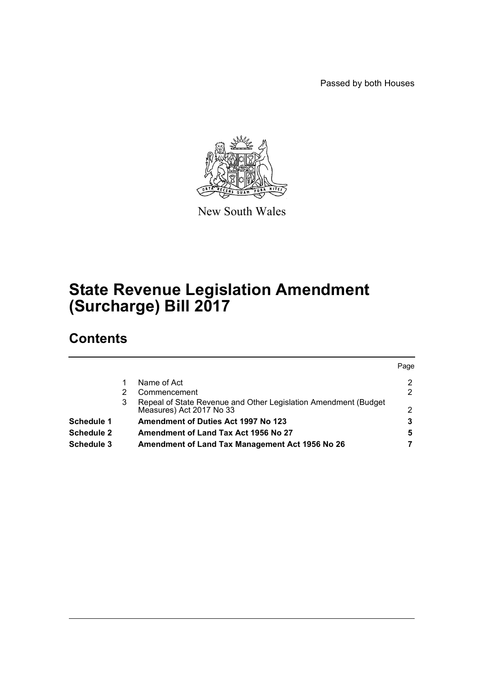Passed by both Houses



New South Wales

# **State Revenue Legislation Amendment (Surcharge) Bill 2017**

## **Contents**

|                   |   |                                                                                             | Page          |
|-------------------|---|---------------------------------------------------------------------------------------------|---------------|
|                   |   | Name of Act                                                                                 | 2             |
|                   |   | Commencement                                                                                | 2             |
|                   | 3 | Repeal of State Revenue and Other Legislation Amendment (Budget<br>Measures) Act 2017 No 33 | $\mathcal{P}$ |
| <b>Schedule 1</b> |   | <b>Amendment of Duties Act 1997 No 123</b>                                                  | 3             |
| <b>Schedule 2</b> |   | Amendment of Land Tax Act 1956 No 27                                                        | 5             |
| Schedule 3        |   | Amendment of Land Tax Management Act 1956 No 26                                             |               |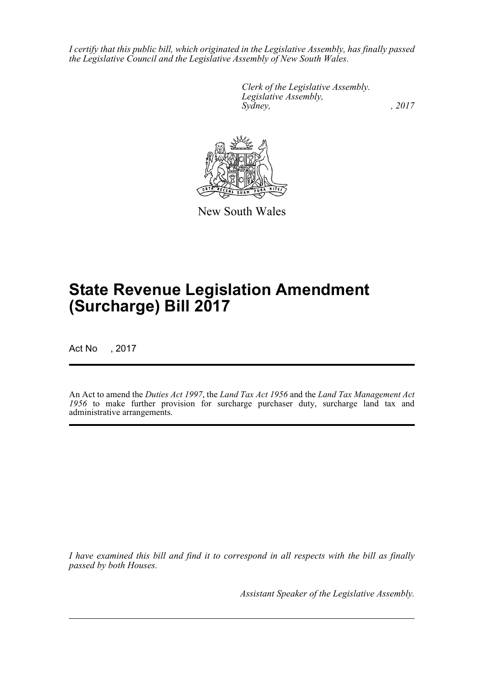*I certify that this public bill, which originated in the Legislative Assembly, has finally passed the Legislative Council and the Legislative Assembly of New South Wales.*

> *Clerk of the Legislative Assembly. Legislative Assembly, Sydney,* , 2017



New South Wales

# **State Revenue Legislation Amendment (Surcharge) Bill 2017**

Act No , 2017

An Act to amend the *Duties Act 1997*, the *Land Tax Act 1956* and the *Land Tax Management Act 1956* to make further provision for surcharge purchaser duty, surcharge land tax and administrative arrangements.

*I have examined this bill and find it to correspond in all respects with the bill as finally passed by both Houses.*

*Assistant Speaker of the Legislative Assembly.*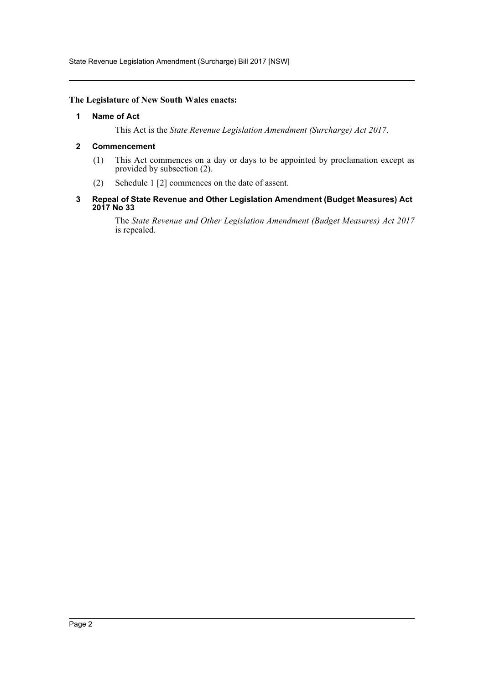State Revenue Legislation Amendment (Surcharge) Bill 2017 [NSW]

### <span id="page-2-0"></span>**The Legislature of New South Wales enacts:**

#### **1 Name of Act**

This Act is the *State Revenue Legislation Amendment (Surcharge) Act 2017*.

### <span id="page-2-1"></span>**2 Commencement**

- (1) This Act commences on a day or days to be appointed by proclamation except as provided by subsection (2).
- (2) Schedule 1 [2] commences on the date of assent.
- <span id="page-2-2"></span>**3 Repeal of State Revenue and Other Legislation Amendment (Budget Measures) Act 2017 No 33**

The *State Revenue and Other Legislation Amendment (Budget Measures) Act 2017* is repealed.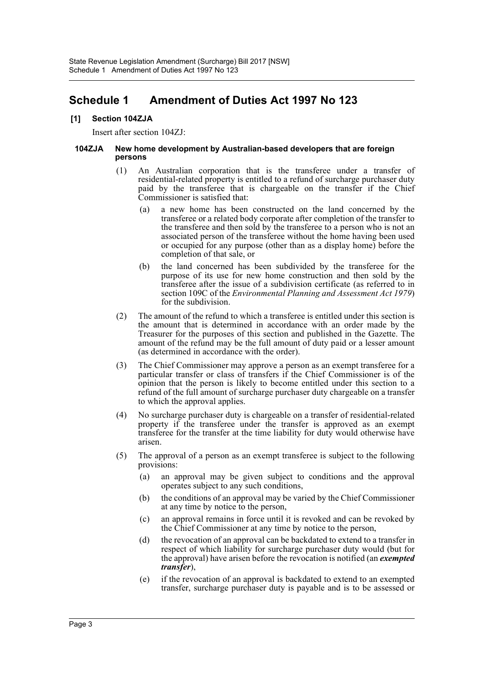## <span id="page-3-0"></span>**Schedule 1 Amendment of Duties Act 1997 No 123**

## **[1] Section 104ZJA**

Insert after section 104ZJ:

#### **104ZJA New home development by Australian-based developers that are foreign persons**

- (1) An Australian corporation that is the transferee under a transfer of residential-related property is entitled to a refund of surcharge purchaser duty paid by the transferee that is chargeable on the transfer if the Chief Commissioner is satisfied that:
	- (a) a new home has been constructed on the land concerned by the transferee or a related body corporate after completion of the transfer to the transferee and then sold by the transferee to a person who is not an associated person of the transferee without the home having been used or occupied for any purpose (other than as a display home) before the completion of that sale, or
	- (b) the land concerned has been subdivided by the transferee for the purpose of its use for new home construction and then sold by the transferee after the issue of a subdivision certificate (as referred to in section 109C of the *Environmental Planning and Assessment Act 1979*) for the subdivision.
- (2) The amount of the refund to which a transferee is entitled under this section is the amount that is determined in accordance with an order made by the Treasurer for the purposes of this section and published in the Gazette. The amount of the refund may be the full amount of duty paid or a lesser amount (as determined in accordance with the order).
- (3) The Chief Commissioner may approve a person as an exempt transferee for a particular transfer or class of transfers if the Chief Commissioner is of the opinion that the person is likely to become entitled under this section to a refund of the full amount of surcharge purchaser duty chargeable on a transfer to which the approval applies.
- (4) No surcharge purchaser duty is chargeable on a transfer of residential-related property if the transferee under the transfer is approved as an exempt transferee for the transfer at the time liability for duty would otherwise have arisen.
- (5) The approval of a person as an exempt transferee is subject to the following provisions:
	- (a) an approval may be given subject to conditions and the approval operates subject to any such conditions,
	- (b) the conditions of an approval may be varied by the Chief Commissioner at any time by notice to the person,
	- (c) an approval remains in force until it is revoked and can be revoked by the Chief Commissioner at any time by notice to the person,
	- (d) the revocation of an approval can be backdated to extend to a transfer in respect of which liability for surcharge purchaser duty would (but for the approval) have arisen before the revocation is notified (an *exempted transfer*),
	- (e) if the revocation of an approval is backdated to extend to an exempted transfer, surcharge purchaser duty is payable and is to be assessed or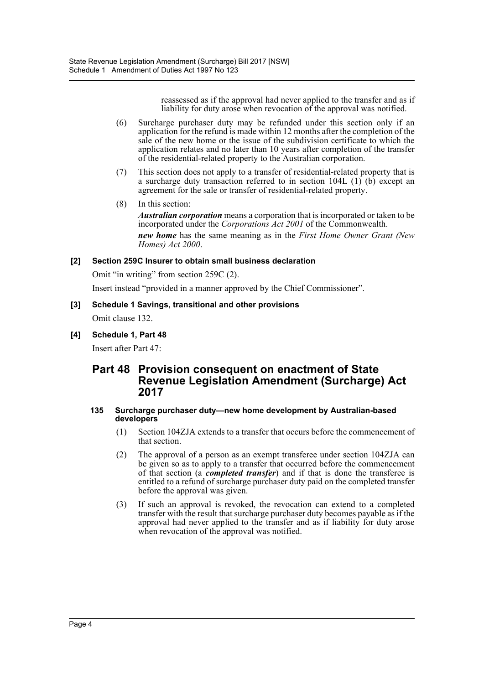reassessed as if the approval had never applied to the transfer and as if liability for duty arose when revocation of the approval was notified.

- (6) Surcharge purchaser duty may be refunded under this section only if an application for the refund is made within 12 months after the completion of the sale of the new home or the issue of the subdivision certificate to which the application relates and no later than 10 years after completion of the transfer of the residential-related property to the Australian corporation.
- (7) This section does not apply to a transfer of residential-related property that is a surcharge duty transaction referred to in section 104L  $(1)$   $(b)$  except an agreement for the sale or transfer of residential-related property.
- (8) In this section:

*Australian corporation* means a corporation that is incorporated or taken to be incorporated under the *Corporations Act 2001* of the Commonwealth. *new home* has the same meaning as in the *First Home Owner Grant (New Homes) Act 2000*.

## **[2] Section 259C Insurer to obtain small business declaration**

Omit "in writing" from section 259C (2).

Insert instead "provided in a manner approved by the Chief Commissioner".

# **[3] Schedule 1 Savings, transitional and other provisions**

Omit clause 132.

**[4] Schedule 1, Part 48**

Insert after Part 47:

## **Part 48 Provision consequent on enactment of State Revenue Legislation Amendment (Surcharge) Act 2017**

#### **135 Surcharge purchaser duty—new home development by Australian-based developers**

- (1) Section 104ZJA extends to a transfer that occurs before the commencement of that section.
- (2) The approval of a person as an exempt transferee under section 104ZJA can be given so as to apply to a transfer that occurred before the commencement of that section (a *completed transfer*) and if that is done the transferee is entitled to a refund of surcharge purchaser duty paid on the completed transfer before the approval was given.
- (3) If such an approval is revoked, the revocation can extend to a completed transfer with the result that surcharge purchaser duty becomes payable as if the approval had never applied to the transfer and as if liability for duty arose when revocation of the approval was notified.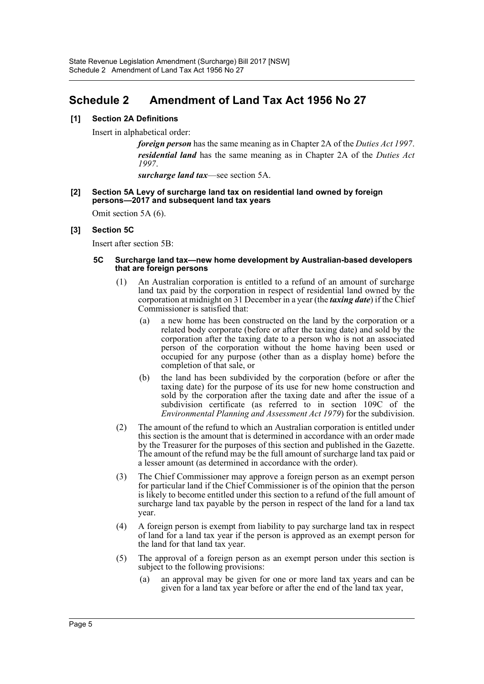## <span id="page-5-0"></span>**Schedule 2 Amendment of Land Tax Act 1956 No 27**

## **[1] Section 2A Definitions**

Insert in alphabetical order:

*foreign person* has the same meaning as in Chapter 2A of the *Duties Act 1997*. *residential land* has the same meaning as in Chapter 2A of the *Duties Act 1997*.

*surcharge land tax*—see section 5A.

#### **[2] Section 5A Levy of surcharge land tax on residential land owned by foreign persons—2017 and subsequent land tax years**

Omit section 5A (6).

## **[3] Section 5C**

Insert after section 5B:

#### **5C Surcharge land tax—new home development by Australian-based developers that are foreign persons**

- (1) An Australian corporation is entitled to a refund of an amount of surcharge land tax paid by the corporation in respect of residential land owned by the corporation at midnight on 31 December in a year (the *taxing date*) if the Chief Commissioner is satisfied that:
	- (a) a new home has been constructed on the land by the corporation or a related body corporate (before or after the taxing date) and sold by the corporation after the taxing date to a person who is not an associated person of the corporation without the home having been used or occupied for any purpose (other than as a display home) before the completion of that sale, or
	- (b) the land has been subdivided by the corporation (before or after the taxing date) for the purpose of its use for new home construction and sold by the corporation after the taxing date and after the issue of a subdivision certificate (as referred to in section 109C of the *Environmental Planning and Assessment Act 1979*) for the subdivision.
- (2) The amount of the refund to which an Australian corporation is entitled under this section is the amount that is determined in accordance with an order made by the Treasurer for the purposes of this section and published in the Gazette. The amount of the refund may be the full amount of surcharge land tax paid or a lesser amount (as determined in accordance with the order).
- (3) The Chief Commissioner may approve a foreign person as an exempt person for particular land if the Chief Commissioner is of the opinion that the person is likely to become entitled under this section to a refund of the full amount of surcharge land tax payable by the person in respect of the land for a land tax year.
- (4) A foreign person is exempt from liability to pay surcharge land tax in respect of land for a land tax year if the person is approved as an exempt person for the land for that land tax year.
- (5) The approval of a foreign person as an exempt person under this section is subject to the following provisions:
	- (a) an approval may be given for one or more land tax years and can be given for a land tax year before or after the end of the land tax year,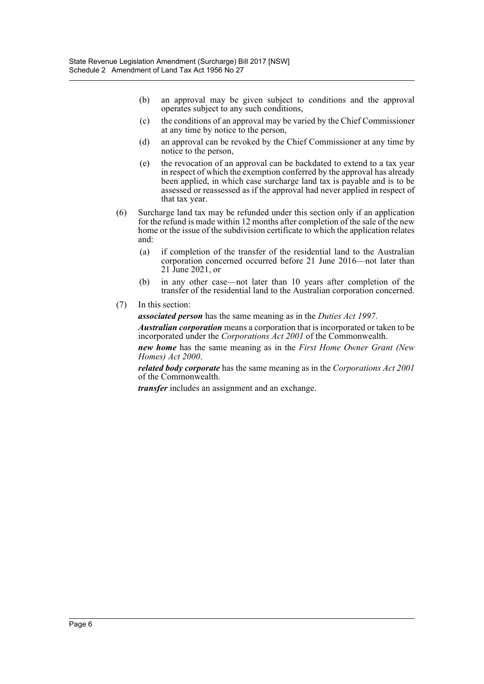- (b) an approval may be given subject to conditions and the approval operates subject to any such conditions,
- (c) the conditions of an approval may be varied by the Chief Commissioner at any time by notice to the person,
- (d) an approval can be revoked by the Chief Commissioner at any time by notice to the person,
- (e) the revocation of an approval can be backdated to extend to a tax year in respect of which the exemption conferred by the approval has already been applied, in which case surcharge land tax is payable and is to be assessed or reassessed as if the approval had never applied in respect of that tax year.
- (6) Surcharge land tax may be refunded under this section only if an application for the refund is made within 12 months after completion of the sale of the new home or the issue of the subdivision certificate to which the application relates and:
	- (a) if completion of the transfer of the residential land to the Australian corporation concerned occurred before 21 June 2016—not later than 21 June 2021, or
	- (b) in any other case—not later than 10 years after completion of the transfer of the residential land to the Australian corporation concerned.
- (7) In this section:

*associated person* has the same meaning as in the *Duties Act 1997*.

*Australian corporation* means a corporation that is incorporated or taken to be incorporated under the *Corporations Act 2001* of the Commonwealth.

*new home* has the same meaning as in the *First Home Owner Grant (New Homes) Act 2000*.

*related body corporate* has the same meaning as in the *Corporations Act 2001* of the Commonwealth.

*transfer* includes an assignment and an exchange.